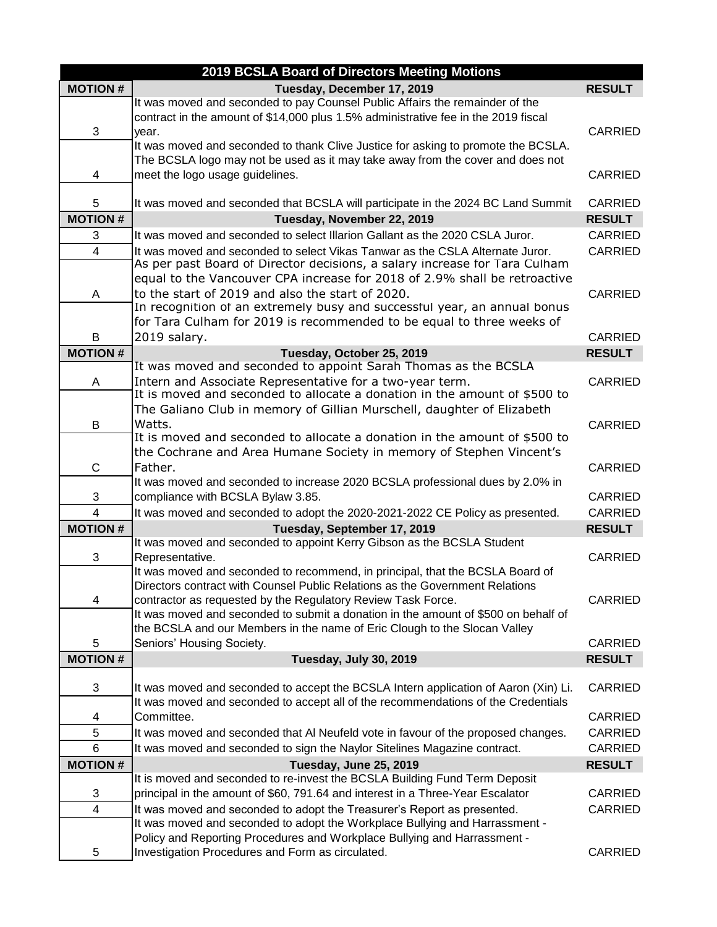|                | 2019 BCSLA Board of Directors Meeting Motions                                                                                                                      |                |
|----------------|--------------------------------------------------------------------------------------------------------------------------------------------------------------------|----------------|
| <b>MOTION#</b> | Tuesday, December 17, 2019                                                                                                                                         | <b>RESULT</b>  |
|                | It was moved and seconded to pay Counsel Public Affairs the remainder of the<br>contract in the amount of \$14,000 plus 1.5% administrative fee in the 2019 fiscal |                |
| 3              | vear.                                                                                                                                                              | <b>CARRIED</b> |
|                | It was moved and seconded to thank Clive Justice for asking to promote the BCSLA.                                                                                  |                |
| 4              | The BCSLA logo may not be used as it may take away from the cover and does not<br>meet the logo usage guidelines.                                                  | <b>CARRIED</b> |
|                |                                                                                                                                                                    |                |
| 5              | It was moved and seconded that BCSLA will participate in the 2024 BC Land Summit                                                                                   | <b>CARRIED</b> |
| <b>MOTION#</b> | Tuesday, November 22, 2019                                                                                                                                         | <b>RESULT</b>  |
| 3              | It was moved and seconded to select Illarion Gallant as the 2020 CSLA Juror.                                                                                       | <b>CARRIED</b> |
| $\overline{4}$ | It was moved and seconded to select Vikas Tanwar as the CSLA Alternate Juror.                                                                                      | CARRIED        |
|                | As per past Board of Director decisions, a salary increase for Tara Culham                                                                                         |                |
|                | equal to the Vancouver CPA increase for 2018 of 2.9% shall be retroactive                                                                                          |                |
| A              | to the start of 2019 and also the start of 2020.                                                                                                                   | <b>CARRIED</b> |
|                | In recognition of an extremely busy and successful year, an annual bonus                                                                                           |                |
|                | for Tara Culham for 2019 is recommended to be equal to three weeks of                                                                                              |                |
| В              | 2019 salary.                                                                                                                                                       | CARRIED        |
| <b>MOTION#</b> | Tuesday, October 25, 2019                                                                                                                                          | <b>RESULT</b>  |
|                | It was moved and seconded to appoint Sarah Thomas as the BCSLA                                                                                                     |                |
| Α              | Intern and Associate Representative for a two-year term.<br>It is moved and seconded to allocate a donation in the amount of \$500 to                              | CARRIED        |
|                | The Galiano Club in memory of Gillian Murschell, daughter of Elizabeth                                                                                             |                |
| B              | Watts.                                                                                                                                                             | CARRIED        |
|                | It is moved and seconded to allocate a donation in the amount of \$500 to                                                                                          |                |
|                | the Cochrane and Area Humane Society in memory of Stephen Vincent's                                                                                                |                |
| C              | Father.                                                                                                                                                            | <b>CARRIED</b> |
|                | It was moved and seconded to increase 2020 BCSLA professional dues by 2.0% in                                                                                      |                |
| 3              | compliance with BCSLA Bylaw 3.85.                                                                                                                                  | CARRIED        |
| $\overline{4}$ | It was moved and seconded to adopt the 2020-2021-2022 CE Policy as presented.                                                                                      | CARRIED        |
| <b>MOTION#</b> | Tuesday, September 17, 2019                                                                                                                                        | <b>RESULT</b>  |
|                | It was moved and seconded to appoint Kerry Gibson as the BCSLA Student                                                                                             |                |
| 3              | Representative.                                                                                                                                                    | <b>CARRIED</b> |
|                | It was moved and seconded to recommend, in principal, that the BCSLA Board of                                                                                      |                |
|                | Directors contract with Counsel Public Relations as the Government Relations                                                                                       |                |
| 4              | contractor as requested by the Regulatory Review Task Force.                                                                                                       | CARRIED        |
|                | It was moved and seconded to submit a donation in the amount of \$500 on behalf of                                                                                 |                |
|                | the BCSLA and our Members in the name of Eric Clough to the Slocan Valley                                                                                          | CARRIED        |
| 5              | Seniors' Housing Society.                                                                                                                                          |                |
| <b>MOTION#</b> | Tuesday, July 30, 2019                                                                                                                                             | <b>RESULT</b>  |
| 3              | It was moved and seconded to accept the BCSLA Intern application of Aaron (Xin) Li.                                                                                | <b>CARRIED</b> |
|                | It was moved and seconded to accept all of the recommendations of the Credentials                                                                                  |                |
| 4              | Committee.                                                                                                                                                         | CARRIED        |
| 5              | It was moved and seconded that AI Neufeld vote in favour of the proposed changes.                                                                                  | CARRIED        |
| 6              | It was moved and seconded to sign the Naylor Sitelines Magazine contract.                                                                                          | CARRIED        |
| <b>MOTION#</b> | Tuesday, June 25, 2019                                                                                                                                             | <b>RESULT</b>  |
|                | It is moved and seconded to re-invest the BCSLA Building Fund Term Deposit                                                                                         |                |
| 3              | principal in the amount of \$60, 791.64 and interest in a Three-Year Escalator                                                                                     | CARRIED        |
| $\overline{4}$ | It was moved and seconded to adopt the Treasurer's Report as presented.                                                                                            | CARRIED        |
|                | It was moved and seconded to adopt the Workplace Bullying and Harrassment -                                                                                        |                |
|                | Policy and Reporting Procedures and Workplace Bullying and Harrassment -                                                                                           |                |
| 5              | Investigation Procedures and Form as circulated.                                                                                                                   | CARRIED        |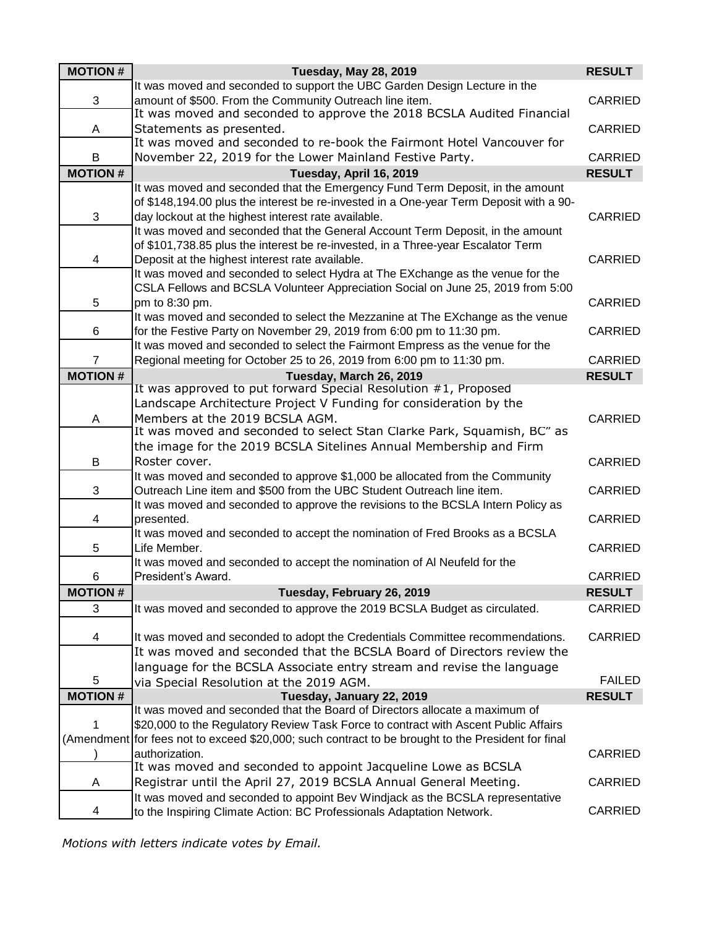| <b>MOTION#</b> | <b>Tuesday, May 28, 2019</b>                                                                                                                            | <b>RESULT</b>  |
|----------------|---------------------------------------------------------------------------------------------------------------------------------------------------------|----------------|
|                | It was moved and seconded to support the UBC Garden Design Lecture in the                                                                               |                |
| 3              | amount of \$500. From the Community Outreach line item.<br>It was moved and seconded to approve the 2018 BCSLA Audited Financial                        | <b>CARRIED</b> |
| A              | Statements as presented.<br>It was moved and seconded to re-book the Fairmont Hotel Vancouver for                                                       | <b>CARRIED</b> |
| B              | November 22, 2019 for the Lower Mainland Festive Party.                                                                                                 | CARRIED        |
| <b>MOTION#</b> | Tuesday, April 16, 2019                                                                                                                                 | <b>RESULT</b>  |
|                | It was moved and seconded that the Emergency Fund Term Deposit, in the amount                                                                           |                |
|                | of \$148,194.00 plus the interest be re-invested in a One-year Term Deposit with a 90-                                                                  |                |
| 3              | day lockout at the highest interest rate available.                                                                                                     | <b>CARRIED</b> |
|                | It was moved and seconded that the General Account Term Deposit, in the amount                                                                          |                |
|                | of \$101,738.85 plus the interest be re-invested, in a Three-year Escalator Term                                                                        |                |
| 4              | Deposit at the highest interest rate available.                                                                                                         | <b>CARRIED</b> |
|                | It was moved and seconded to select Hydra at The EXchange as the venue for the                                                                          |                |
|                | CSLA Fellows and BCSLA Volunteer Appreciation Social on June 25, 2019 from 5:00                                                                         |                |
| 5              | pm to 8:30 pm.                                                                                                                                          | <b>CARRIED</b> |
| 6              | It was moved and seconded to select the Mezzanine at The EXchange as the venue<br>for the Festive Party on November 29, 2019 from 6:00 pm to 11:30 pm.  | <b>CARRIED</b> |
|                | It was moved and seconded to select the Fairmont Empress as the venue for the                                                                           |                |
| $\overline{7}$ | Regional meeting for October 25 to 26, 2019 from 6:00 pm to 11:30 pm.                                                                                   | <b>CARRIED</b> |
| <b>MOTION#</b> | Tuesday, March 26, 2019                                                                                                                                 | <b>RESULT</b>  |
|                | It was approved to put forward Special Resolution #1, Proposed                                                                                          |                |
|                | Landscape Architecture Project V Funding for consideration by the                                                                                       |                |
| A              | Members at the 2019 BCSLA AGM.                                                                                                                          | <b>CARRIED</b> |
|                | It was moved and seconded to select Stan Clarke Park, Squamish, BC" as                                                                                  |                |
|                | the image for the 2019 BCSLA Sitelines Annual Membership and Firm                                                                                       |                |
| B              | Roster cover.                                                                                                                                           | CARRIED        |
|                | It was moved and seconded to approve \$1,000 be allocated from the Community                                                                            |                |
| 3              | Outreach Line item and \$500 from the UBC Student Outreach line item.                                                                                   | CARRIED        |
|                | It was moved and seconded to approve the revisions to the BCSLA Intern Policy as                                                                        |                |
| 4              | presented.                                                                                                                                              | CARRIED        |
|                | It was moved and seconded to accept the nomination of Fred Brooks as a BCSLA                                                                            |                |
| 5              | Life Member.                                                                                                                                            | CARRIED        |
|                | It was moved and seconded to accept the nomination of AI Neufeld for the                                                                                |                |
| 6              | President's Award.                                                                                                                                      | <b>CARRIED</b> |
| <b>MOTION#</b> | Tuesday, February 26, 2019                                                                                                                              | <b>RESULT</b>  |
| 3              | It was moved and seconded to approve the 2019 BCSLA Budget as circulated.                                                                               | <b>CARRIED</b> |
| 4              |                                                                                                                                                         | CARRIED        |
|                | It was moved and seconded to adopt the Credentials Committee recommendations.<br>It was moved and seconded that the BCSLA Board of Directors review the |                |
|                | language for the BCSLA Associate entry stream and revise the language                                                                                   |                |
| 5              | via Special Resolution at the 2019 AGM.                                                                                                                 | <b>FAILED</b>  |
| <b>MOTION#</b> | Tuesday, January 22, 2019                                                                                                                               | <b>RESULT</b>  |
|                | It was moved and seconded that the Board of Directors allocate a maximum of                                                                             |                |
| 1              | \$20,000 to the Regulatory Review Task Force to contract with Ascent Public Affairs                                                                     |                |
|                | (Amendment for fees not to exceed \$20,000; such contract to be brought to the President for final                                                      |                |
|                | authorization.                                                                                                                                          | CARRIED        |
|                | It was moved and seconded to appoint Jacqueline Lowe as BCSLA                                                                                           |                |
| A              | Registrar until the April 27, 2019 BCSLA Annual General Meeting.                                                                                        | <b>CARRIED</b> |
|                | It was moved and seconded to appoint Bev Windjack as the BCSLA representative                                                                           |                |
| 4              | to the Inspiring Climate Action: BC Professionals Adaptation Network.                                                                                   | <b>CARRIED</b> |

*Motions with letters indicate votes by Email.*